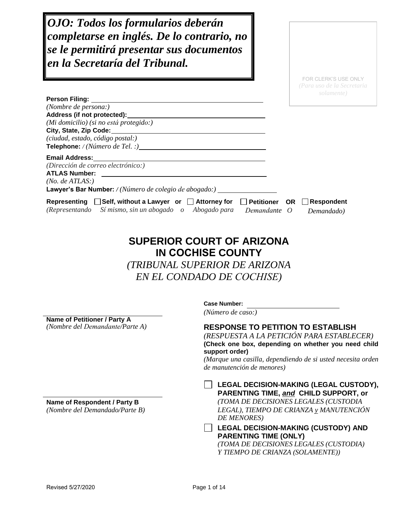*OJO: Todos los formularios deberán completarse en inglés. De lo contrario, no se le permitirá presentar sus documentos en la Secretaría del Tribunal.*

> FOR CLERK'S USE ONLY *(Para uso de la Secretaria*

| <b>Person Filing:</b>                                                                                                                                            |                       |                                 |
|------------------------------------------------------------------------------------------------------------------------------------------------------------------|-----------------------|---------------------------------|
| (Nombre de persona:)                                                                                                                                             |                       |                                 |
| Address (if not protected):                                                                                                                                      |                       |                                 |
| (Mi domicilio) (si no está protegido:)                                                                                                                           |                       |                                 |
| City, State, Zip Code:                                                                                                                                           |                       |                                 |
| (ciudad, estado, código postal:)                                                                                                                                 |                       |                                 |
| <b>Telephone:</b> / (Número de Tel. :)                                                                                                                           |                       |                                 |
| <b>Email Address:</b>                                                                                                                                            |                       |                                 |
| (Dirección de correo electrónico:)                                                                                                                               |                       |                                 |
| <b>ATLAS Number:</b>                                                                                                                                             |                       |                                 |
| (No. de ATLAS.)                                                                                                                                                  |                       |                                 |
| <b>Lawyer's Bar Number:</b> / (Número de colegio de abogado:)                                                                                                    |                       |                                 |
| $\Box$ Self, without a Lawyer or $\Box$ Attorney for<br>Representing<br>$\Box$ Petitioner<br>(Representando Símismo, sin un abogado o Abogado para<br>Demandante | <b>OR</b><br>$\theta$ | <b>Respondent</b><br>Demandado) |

# **SUPERIOR COURT OF ARIZONA IN COCHISE COUNTY**

*(TRIBUNAL SUPERIOR DE ARIZONA* 

*EN EL CONDADO DE COCHISE)*

**Name of Petitioner / Party A**

**Case Number:**

*(Número de caso:)*

# *(Nombre del Demandante/Parte A)* **RESPONSE TO PETITION TO ESTABLISH**

*(RESPUESTA A LA PETICIÓN PARA ESTABLECER)* **(Check one box, depending on whether you need child support order)**

*(Marque una casilla, dependiendo de si usted necesita orden de manutención de menores)*

**LEGAL DECISION-MAKING (LEGAL CUSTODY), PARENTING TIME,** *and* **CHILD SUPPORT, or Name of Respondent / Party B** *(TOMA DE DECISIONES LEGALES (CUSTODIA (Nombre del Demandado/Parte B) LEGAL), TIEMPO DE CRIANZA y MANUTENCIÓN DE MENORES)*

> **LEGAL DECISION-MAKING (CUSTODY) AND PARENTING TIME (ONLY)**

*(TOMA DE DECISIONES LEGALES (CUSTODIA) Y TIEMPO DE CRIANZA (SOLAMENTE))*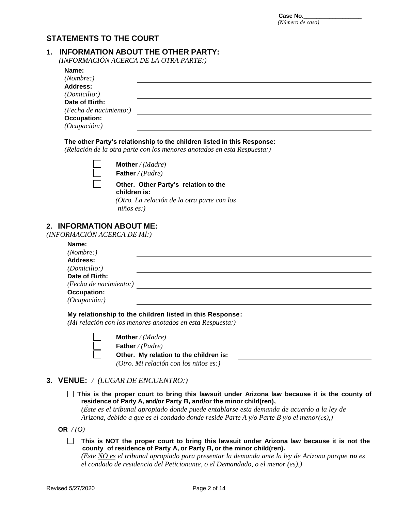# **STATEMENTS TO THE COURT**

#### **1. INFORMATION ABOUT THE OTHER PARTY:**

*(INFORMACIÓN ACERCA DE LA OTRA PARTE:)*

| Name:                  |  |
|------------------------|--|
| (Nonbre: )             |  |
| <b>Address:</b>        |  |
| (Domicilio.)           |  |
| Date of Birth:         |  |
| (Fecha de nacimiento:) |  |
| <b>Occupation:</b>     |  |
| (Ocupación.)           |  |

#### **The other Party's relationship to the children listed in this Response:**

*(Relación de la otra parte con los menores anotados en esta Respuesta:)*

**Mother** */ (Madre)* **Father** */ (Padre)*

#### **Other. Other Party's relation to the children is:**

*(Otro. La relación de la otra parte con los niños es:)*

# **2. INFORMATION ABOUT ME:**

*(INFORMACIÓN ACERCA DE MÍ:)*

| Name:                  |  |
|------------------------|--|
| (Nonbre: )             |  |
| <b>Address:</b>        |  |
| (Domicilio.)           |  |
| Date of Birth:         |  |
| (Fecha de nacimiento:) |  |
| <b>Occupation:</b>     |  |
| (Ocupación.)           |  |

**My relationship to the children listed in this Response:**

*(Mi relación con los menores anotados en esta Respuesta:)*

**Mother** */ (Madre)* **Father** */ (Padre)* **Other. My relation to the children is:**   *(Otro. Mi relación con los niños es:)*

# **3. VENUE:** */ (LUGAR DE ENCUENTRO:)*

**This is the proper court to bring this lawsuit under Arizona law because it is the county of residence of Party A, and/or Party B, and/or the minor child(ren),** 

*(Éste es el tribunal apropiado donde puede entablarse esta demanda de acuerdo a la ley de Arizona, debido a que es el condado donde reside Parte A y/o Parte B y/o el menor(es),)*

OR  $/(0)$ 

**This is NOT the proper court to bring this lawsuit under Arizona law because it is not the county of residence of Party A, or Party B, or the minor child(ren).**

*(Este NO es el tribunal apropiado para presentar la demanda ante la ley de Arizona porque no es el condado de residencia del Peticionante, o el Demandado, o el menor (es).)*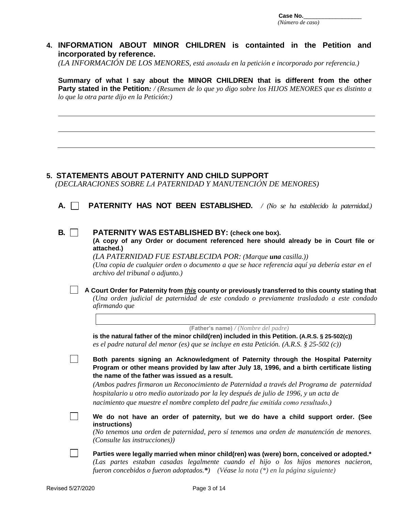Case No. *(Número de caso)* 

# **4. INFORMATION ABOUT MINOR CHILDREN is containted in the Petition and incorporated by reference.**

*(LA INFORMACIÓN DE LOS MENORES, está anotada en la petición e incorporado por referencia.)*

**Summary of what I say about the MINOR CHILDREN that is different from the other Party stated in the Petition***: / (Resumen de lo que yo digo sobre los HIJOS MENORES que es distinto a lo que la otra parte dijo en la Petición:)*

# *(DECLARACIONES SOBRE LA PATERNIDAD Y MANUTENCIÓN DE MENORES)*

**A. PATERNITY HAS NOT BEEN ESTABLISHED.** */ (No se ha establecido la paternidad.)*

#### **B. PATERNITY WAS ESTABLISHED BY: (check one box).**

**5. STATEMENTS ABOUT PATERNITY AND CHILD SUPPORT**

**(A copy of any Order or document referenced here should already be in Court file or attached.)** 

*(LA PATERNIDAD FUE ESTABLECIDA POR: (Marque una casilla.)) (Una copia de cualquier orden o documento a que se hace referencia aquí ya debería estar en el archivo del tribunal o adjunto.)* 

**A Court Order for Paternity from** *this* **county or previously transferred to this county stating that** *(Una orden judicial de paternidad de este condado o previamente trasladado a este condado afirmando que*

 **(Father's name)** */ (Nombre del padre)*

**is the natural father of the minor child(ren) included in this Petition. (A.R.S. § 25-502(c))** *es el padre natural del menor (es) que se incluye en esta Petición. (A.R.S. § 25-502 (c))* 

**Both parents signing an Acknowledgment of Paternity through the Hospital Paternity Program or other means provided by law after July 18, 1996, and a birth certificate listing the name of the father was issued as a result.**

*(Ambos padres firmaron un Reconocimiento de Paternidad a través del Programa de paternidad hospitalario u otro medio autorizado por la ley después de julio de 1996, y un acta de nacimiento que muestre el nombre completo del padre fue emitida como resultado.)*

**We do not have an order of paternity, but we do have a child support order. (See instructions)**

*(No tenemos una orden de paternidad, pero sí tenemos una orden de manutención de menores. (Consulte las instrucciones))* 

**Parties were legally married when minor child(ren) was (were) born, conceived or adopted.\*** *(Las partes estaban casadas legalmente cuando el hijo o los hijos menores nacieron, fueron concebidos o fueron adoptados.\*) (Véase la nota (\*) en la página siguiente)* 

 $\Box$ 

 $\mathbb{R}^n$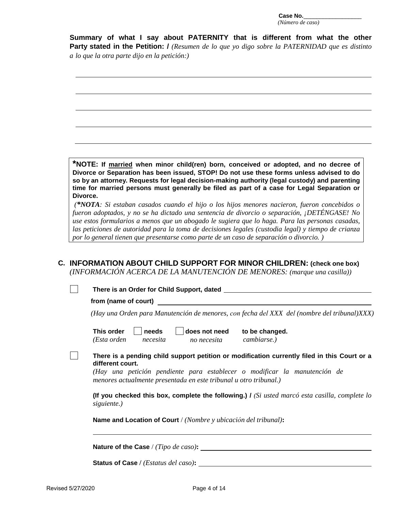**Summary of what I say about PATERNITY that is different from what the other Party stated in the Petition: /** *(Resumen de lo que yo digo sobre la PATERNIDAD que es distinto a lo que la otra parte dijo en la petición:)*

**\*NOTE: If married when minor child(ren) born, conceived or adopted, and no decree of Divorce or Separation has been issued, STOP! Do not use these forms unless advised to do so by an attorney. Requests for legal decision-making authority (legal custody) and parenting time for married persons must generally be filed as part of a case for Legal Separation or Divorce.**

*(\*NOTA: Si estaban casados cuando el hijo o los hijos menores nacieron, fueron concebidos o fueron adoptados, y no se ha dictado una sentencia de divorcio o separación, ¡DETÉNGASE! No use estos formularios a menos que un abogado le sugiera que lo haga. Para las personas casadas, las peticiones de autoridad para la toma de decisiones legales (custodia legal) y tiempo de crianza por lo general tienen que presentarse como parte de un caso de separación o divorcio. )*

# **C. INFORMATION ABOUT CHILD SUPPORT FOR MINOR CHILDREN: (check one box)**

*(INFORMACIÓN ACERCA DE LA MANUTENCIÓN DE MENORES: (marque una casilla))*

| There is an Order for Child Support, dated                                                                                                                                                                                                                         |
|--------------------------------------------------------------------------------------------------------------------------------------------------------------------------------------------------------------------------------------------------------------------|
| from (name of court)                                                                                                                                                                                                                                               |
| (Hay una Orden para Manutención de menores, con fecha del XXX del (nombre del tribunal)XXX)                                                                                                                                                                        |
| This order<br>needs<br>does not need<br>to be changed.<br>cambiarse.)<br>(Esta orden<br>necesita<br>no necesita                                                                                                                                                    |
| There is a pending child support petition or modification currently filed in this Court or a<br>different court.<br>(Hay una petición pendiente para establecer o modificar la manutención de<br>menores actualmente presentada en este tribunal u otro tribunal.) |
| (If you checked this box, complete the following.) $\ell$ (Si usted marcó esta casilla, complete lo<br>siguiente.)                                                                                                                                                 |
| <b>Name and Location of Court</b> / (Nombre y ubicación del tribunal):                                                                                                                                                                                             |

|  | Nature of the Case / (Tipo de caso): |  |  |  |  |  |
|--|--------------------------------------|--|--|--|--|--|
|--|--------------------------------------|--|--|--|--|--|

**Status of Case /** *(Estatus del caso)***:**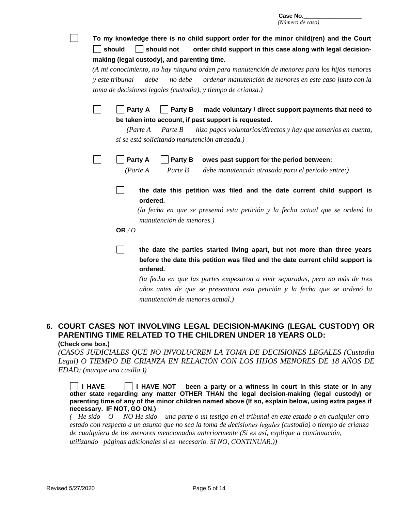| To my knowledge there is no child support order for the minor child(ren) and the Court<br>should not<br>order child support in this case along with legal decision-<br>should                                                                                        |
|----------------------------------------------------------------------------------------------------------------------------------------------------------------------------------------------------------------------------------------------------------------------|
| making (legal custody), and parenting time.                                                                                                                                                                                                                          |
| (A mi conocimiento, no hay ninguna orden para manutención de menores para los hijos menores<br>no debe<br><i>v</i> este tribunal<br>debe<br>ordenar manutención de menores en este caso junto con la<br>toma de decisiones legales (custodia), y tiempo de crianza.) |
| Party A<br>Party B<br>made voluntary / direct support payments that need to<br>be taken into account, if past support is requested.                                                                                                                                  |
| hizo pagos voluntarios/directos y hay que tomarlos en cuenta,<br>(Parte A)<br>Parte B<br>si se está solicitando manutención atrasada.)                                                                                                                               |
| Party A<br>Party B<br>owes past support for the period between:                                                                                                                                                                                                      |
| (Parte A)<br>Parte B<br>debe manutención atrasada para el periodo entre:)                                                                                                                                                                                            |
| the date this petition was filed and the date current child support is<br>ordered.                                                                                                                                                                                   |
| (la fecha en que se presentó esta petición y la fecha actual que se ordenó la<br>manutención de menores.)                                                                                                                                                            |
| OR $/O$                                                                                                                                                                                                                                                              |
| the date the parties started living apart, but not more than three years<br>before the date this petition was filed and the date current child support is<br>ordered.                                                                                                |
| (la fecha en que las partes empezaron a vivir separadas, pero no más de tres<br>años antes de que se presentara esta petición y la fecha que se ordenó la<br>manutención de menores actual.)                                                                         |

# **6. COURT CASES NOT INVOLVING LEGAL DECISION-MAKING (LEGAL CUSTODY) OR PARENTING TIME RELATED TO THE CHILDREN UNDER 18 YEARS OLD: (Check one box.)**

*(CASOS JUDICIALES QUE NO INVOLUCREN LA TOMA DE DECISIONES LEGALES (Custodia Legal) O TIEMPO DE CRIANZA EN RELACIÓN CON LOS HIJOS MENORES DE 18 AÑOS DE EDAD: (marque una casilla.))*

**I HAVE I HAVE NOT been a party or a witness in court in this state or in any other state regarding any matter OTHER THAN the legal decision-making (legal custody) or parenting time of any of the minor children named above (If so, explain below, using extra pages if necessary. IF NOT, GO ON.)**

*( He sido O NO He sido una parte o un testigo en el tribunal en este estado o en cualquier otro estado con respecto a un asunto que no sea la toma de decisiones legales (custodia) o tiempo de crianza de cualquiera de los menores mencionados anteriormente (Si es así, explique a continuación, utilizando páginas adicionales si es necesario. SI NO, CONTINUAR.))*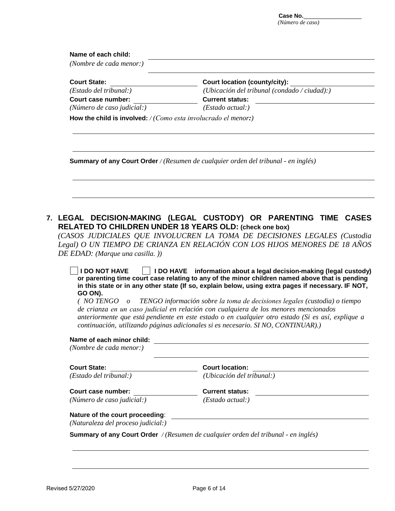Case No.\_ *(Número de caso)* 

| (Nombre de cada menor:)                                                    |                                                                                                                                                                                                                                                                                                                                                                                                                                                                                                                                                                                                                                                                                                                                                                                                                                                                                                                      |
|----------------------------------------------------------------------------|----------------------------------------------------------------------------------------------------------------------------------------------------------------------------------------------------------------------------------------------------------------------------------------------------------------------------------------------------------------------------------------------------------------------------------------------------------------------------------------------------------------------------------------------------------------------------------------------------------------------------------------------------------------------------------------------------------------------------------------------------------------------------------------------------------------------------------------------------------------------------------------------------------------------|
| <b>Court State:</b>                                                        | <b>Court location (county/city):</b>                                                                                                                                                                                                                                                                                                                                                                                                                                                                                                                                                                                                                                                                                                                                                                                                                                                                                 |
| (Estado del tribunal:)                                                     | (Ubicación del tribunal (condado / ciudad):)                                                                                                                                                                                                                                                                                                                                                                                                                                                                                                                                                                                                                                                                                                                                                                                                                                                                         |
| Court case number:                                                         | <b>Current status:</b>                                                                                                                                                                                                                                                                                                                                                                                                                                                                                                                                                                                                                                                                                                                                                                                                                                                                                               |
| (Número de caso judicial:)                                                 | (Estado actual.)                                                                                                                                                                                                                                                                                                                                                                                                                                                                                                                                                                                                                                                                                                                                                                                                                                                                                                     |
| How the child is involved: $/(Como \; esta \; involucion \; el \; menor.)$ |                                                                                                                                                                                                                                                                                                                                                                                                                                                                                                                                                                                                                                                                                                                                                                                                                                                                                                                      |
|                                                                            | <b>Summary of any Court Order</b> / (Resumen de cualquier orden del tribunal - en inglés)                                                                                                                                                                                                                                                                                                                                                                                                                                                                                                                                                                                                                                                                                                                                                                                                                            |
|                                                                            |                                                                                                                                                                                                                                                                                                                                                                                                                                                                                                                                                                                                                                                                                                                                                                                                                                                                                                                      |
|                                                                            | <b>RELATED TO CHILDREN UNDER 18 YEARS OLD: (check one box)</b>                                                                                                                                                                                                                                                                                                                                                                                                                                                                                                                                                                                                                                                                                                                                                                                                                                                       |
| DE EDAD: (Marque una casilla.))<br><b>I DO NOT HAVE</b>                    |                                                                                                                                                                                                                                                                                                                                                                                                                                                                                                                                                                                                                                                                                                                                                                                                                                                                                                                      |
| GO ON).                                                                    | de crianza en un caso judicial en relación con cualquiera de los menores mencionados<br>continuación, utilizando páginas adicionales si es necesario. SI NO, CONTINUAR).)                                                                                                                                                                                                                                                                                                                                                                                                                                                                                                                                                                                                                                                                                                                                            |
| Name of each minor child:<br>(Nombre de cada menor:)                       | <u> 1989 - Johann Stein, fransk politik (f. 1989)</u>                                                                                                                                                                                                                                                                                                                                                                                                                                                                                                                                                                                                                                                                                                                                                                                                                                                                |
| <b>Court State:</b>                                                        | <b>Court location:</b>                                                                                                                                                                                                                                                                                                                                                                                                                                                                                                                                                                                                                                                                                                                                                                                                                                                                                               |
| (Estado del tribunal:)                                                     | (Ubicación del tribunal:)                                                                                                                                                                                                                                                                                                                                                                                                                                                                                                                                                                                                                                                                                                                                                                                                                                                                                            |
| Court case number:                                                         | 7. LEGAL DECISION-MAKING (LEGAL CUSTODY) OR PARENTING TIME CASES<br>(CASOS JUDICIALES QUE INVOLUCREN LA TOMA DE DECISIONES LEGALES (Custodia<br>Legal) O UN TIEMPO DE CRIANZA EN RELACIÓN CON LOS HIJOS MENORES DE 18 AÑOS<br>I DO HAVE information about a legal decision-making (legal custody)<br>or parenting time court case relating to any of the minor children named above that is pending<br>in this state or in any other state (If so, explain below, using extra pages if necessary. IF NOT,<br>$(NOTENGO \t o TENGO information sobre la toma de decisionse legales (custodia) o tiempo$<br>anteriormente que está pendiente en este estado o en cualquier otro estado (Si es así, explique a<br><u> 1989 - Johann Barbara, martxa alemaniar arg</u><br><b>Current status:</b><br><u> 1989 - Jan Sterlinger, skriuwer fan it ferstjer fan it ferstjer fan it ferstjer fan it ferstjer fan it ferst</u> |

*(Naturaleza del proceso judicial:)*

**Summary of any Court Order** */ (Resumen de cualquier orden del tribunal - en inglés)*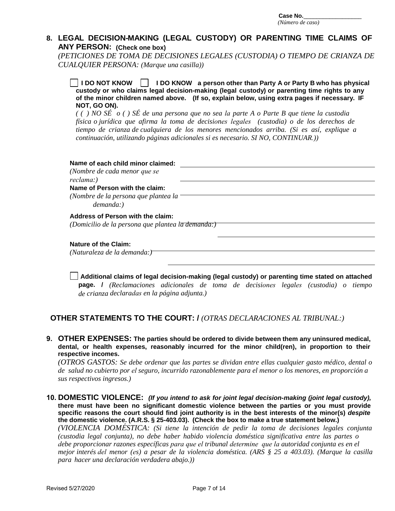#### **8. LEGAL DECISION-MAKING (LEGAL CUSTODY) OR PARENTING TIME CLAIMS OF ANY PERSON: (Check one box)**

*(PETICIONES DE TOMA DE DECISIONES LEGALES (CUSTODIA) O TIEMPO DE CRIANZA DE CUALQUIER PERSONA: (Marque una casilla))*

**I DO NOT KNOW I DO KNOW a person other than Party A or Party B who has physical custody or who claims legal decision-making (legal custody) or parenting time rights to any of the minor children named above. (If so, explain below, using extra pages if necessary. IF NOT, GO ON).** 

*( ( ) NO SÉ o ( ) SÉ de una persona que no sea la parte A o Parte B que tiene la custodia física o jurídica que afirma la toma de decisiones legales (custodia) o de los derechos de tiempo de crianza de cualquiera de los menores mencionados arriba. (Si es así, explique a continuación, utilizando páginas adicionales si es necesario. SI NO, CONTINUAR.))*

| Name of each child minor claimed:                    |
|------------------------------------------------------|
| (Nombre de cada menor que se                         |
| reclama:)                                            |
| Name of Person with the claim:                       |
| (Nombre de la persona que plantea la<br>$demanda:$ ) |
| Address of Person with the claim:                    |
| (Domicilio de la persona que plantea la demanda:)    |
|                                                      |
| <b>Nature of the Claim:</b>                          |
| (Naturaleza de la demanda: )                         |

**Additional claims of legal decision-making (legal custody) or parenting time stated on attached page. /** *(Reclamaciones adicionales de toma de decisiones legales (custodia) o tiempo de crianza declaradas en la página adjunta.)*

# **OTHER STATEMENTS TO THE COURT: /** *(OTRAS DECLARACIONES AL TRIBUNAL:)*

**9. OTHER EXPENSES: The parties should be ordered to divide between them any uninsured medical, dental, or health expenses, reasonably incurred for the minor child(ren), in proportion to their respective incomes.**

*(OTROS GASTOS: Se debe ordenar que las partes se dividan entre ellas cualquier gasto médico, dental o de salud no cubierto por el seguro, incurrido razonablemente para el menor o los menores, en proporción a sus respectivos ingresos.)*

**10. DOMESTIC VIOLENCE:** *(If you intend to ask for joint legal decision-making (joint legal custody),* **there must have been no significant domestic violence between the parties or you must provide specific reasons the court should find joint authority is in the best interests of the minor(s)** *despite* **the domestic violence. (A.R.S. § 25-403.03). (Check the box to make a true statement below.)** *(VIOLENCIA DOMÉSTICA: (Si tiene la intención de pedir la toma de decisiones legales conjunta (custodia legal conjunta), no debe haber habido violencia doméstica significativa entre las partes o debe proporcionar razones específicas para que el tribunal determine que la autoridad conjunta es en el mejor interés del menor (es) a pesar de la violencia doméstica. (ARS § 25 a 403.03). (Marque la casilla para hacer una declaración verdadera abajo.))*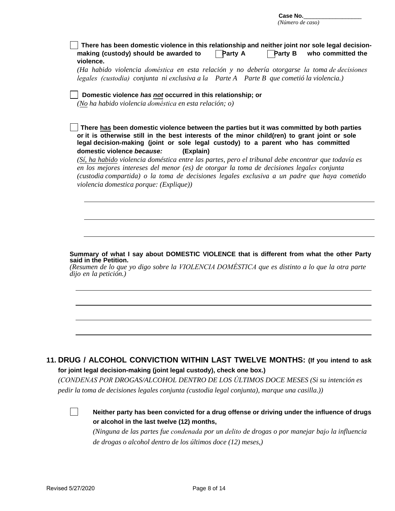| Case No.         |  |
|------------------|--|
| (Número de caso) |  |

| There has been domestic violence in this relationship and neither joint nor sole legal decision-<br><b>Party B</b><br>making (custody) should be awarded to<br><b>Party A</b><br>who committed the<br>violence.                                                                                                                                                                                                                                                                                                                                                                                                                |
|--------------------------------------------------------------------------------------------------------------------------------------------------------------------------------------------------------------------------------------------------------------------------------------------------------------------------------------------------------------------------------------------------------------------------------------------------------------------------------------------------------------------------------------------------------------------------------------------------------------------------------|
| (Ha habido violencia doméstica en esta relación y no debería otorgarse la toma de decisiones                                                                                                                                                                                                                                                                                                                                                                                                                                                                                                                                   |
| legales (custodia) conjunta ni exclusiva a la Parte A Parte B que cometió la violencia.)                                                                                                                                                                                                                                                                                                                                                                                                                                                                                                                                       |
| Domestic violence has not occurred in this relationship; or<br>(No ha habido violencia doméstica en esta relación; o)                                                                                                                                                                                                                                                                                                                                                                                                                                                                                                          |
| There has been domestic violence between the parties but it was committed by both parties<br>or it is otherwise still in the best interests of the minor child(ren) to grant joint or sole<br>legal decision-making (joint or sole legal custody) to a parent who has committed<br>domestic violence because:<br>(Explain)<br>(Sí, ha habido violencia doméstica entre las partes, pero el tribunal debe encontrar que todavía es<br>en los mejores intereses del menor (es) de otorgar la toma de decisiones legales conjunta<br>(custodia compartida) o la toma de decisiones legales exclusiva a un padre que haya cometido |
| violencia domestica porque: (Explique))                                                                                                                                                                                                                                                                                                                                                                                                                                                                                                                                                                                        |
|                                                                                                                                                                                                                                                                                                                                                                                                                                                                                                                                                                                                                                |
|                                                                                                                                                                                                                                                                                                                                                                                                                                                                                                                                                                                                                                |
|                                                                                                                                                                                                                                                                                                                                                                                                                                                                                                                                                                                                                                |
| Summary of what I say about DOMESTIC VIOLENCE that is different from what the other Party                                                                                                                                                                                                                                                                                                                                                                                                                                                                                                                                      |
| said in the Petition.<br>(Resumen de lo que yo digo sobre la VIOLENCIA DOMÉSTICA que es distinto a lo que la otra parte<br>dijo en la petición.)                                                                                                                                                                                                                                                                                                                                                                                                                                                                               |
|                                                                                                                                                                                                                                                                                                                                                                                                                                                                                                                                                                                                                                |
|                                                                                                                                                                                                                                                                                                                                                                                                                                                                                                                                                                                                                                |
|                                                                                                                                                                                                                                                                                                                                                                                                                                                                                                                                                                                                                                |
|                                                                                                                                                                                                                                                                                                                                                                                                                                                                                                                                                                                                                                |
| 11. DRUG / ALCOHOL CONVICTION WITHIN LAST TWELVE MONTHS: (If you intend to ask<br>for joint legal decision-making (joint legal custody), check one box.)                                                                                                                                                                                                                                                                                                                                                                                                                                                                       |
| (CONDENAS POR DROGAS/ALCOHOL DENTRO DE LOS ÚLTIMOS DOCE MESES (Si su intención es                                                                                                                                                                                                                                                                                                                                                                                                                                                                                                                                              |
| pedir la toma de decisiones legales conjunta (custodia legal conjunta), marque una casilla.))                                                                                                                                                                                                                                                                                                                                                                                                                                                                                                                                  |
|                                                                                                                                                                                                                                                                                                                                                                                                                                                                                                                                                                                                                                |
| Neither party has been convicted for a drug offense or driving under the influence of drugs                                                                                                                                                                                                                                                                                                                                                                                                                                                                                                                                    |
| or alcohol in the last twelve (12) months,<br>(Ninguna de las partes fue condenada por un delito de drogas o por manejar bajo la influencia                                                                                                                                                                                                                                                                                                                                                                                                                                                                                    |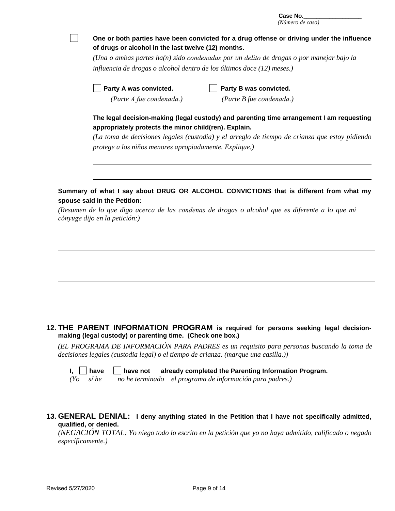| Case No.         |  |
|------------------|--|
| (Número de caso) |  |

|  | (Número de caso)                                                                                                                                                                                                                              |  |  |  |
|--|-----------------------------------------------------------------------------------------------------------------------------------------------------------------------------------------------------------------------------------------------|--|--|--|
|  | One or both parties have been convicted for a drug offense or driving under the influence                                                                                                                                                     |  |  |  |
|  | of drugs or alcohol in the last twelve (12) months.                                                                                                                                                                                           |  |  |  |
|  | (Una o ambas partes $ha(n)$ sido condenadas por un delito de drogas o por manejar bajo la                                                                                                                                                     |  |  |  |
|  | influencia de drogas o alcohol dentro de los últimos doce (12) meses.)                                                                                                                                                                        |  |  |  |
|  | Party A was convicted.<br>Party B was convicted.                                                                                                                                                                                              |  |  |  |
|  | (Parte A fue condenada.)<br>(Parte B fue condenada.)                                                                                                                                                                                          |  |  |  |
|  | The legal decision-making (legal custody) and parenting time arrangement I am requesting<br>appropriately protects the minor child(ren). Explain.                                                                                             |  |  |  |
|  | (La toma de decisiones legales (custodia) y el arreglo de tiempo de crianza que estoy pidiendo                                                                                                                                                |  |  |  |
|  | protege a los niños menores apropiadamente. Explique.)                                                                                                                                                                                        |  |  |  |
|  |                                                                                                                                                                                                                                               |  |  |  |
|  |                                                                                                                                                                                                                                               |  |  |  |
|  |                                                                                                                                                                                                                                               |  |  |  |
|  |                                                                                                                                                                                                                                               |  |  |  |
|  |                                                                                                                                                                                                                                               |  |  |  |
|  | Summary of what I say about DRUG OR ALCOHOL CONVICTIONS that is different from what my<br>spouse said in the Petition:                                                                                                                        |  |  |  |
|  | (Resumen de lo que digo acerca de las condenas de drogas o alcohol que es diferente a lo que mi<br>cónyuge dijo en la petición:)                                                                                                              |  |  |  |
|  |                                                                                                                                                                                                                                               |  |  |  |
|  |                                                                                                                                                                                                                                               |  |  |  |
|  |                                                                                                                                                                                                                                               |  |  |  |
|  |                                                                                                                                                                                                                                               |  |  |  |
|  |                                                                                                                                                                                                                                               |  |  |  |
|  |                                                                                                                                                                                                                                               |  |  |  |
|  | 12. THE PARENT INFORMATION PROGRAM is required for persons seeking legal decision-                                                                                                                                                            |  |  |  |
|  | making (legal custody) or parenting time. (Check one box.)<br>(EL PROGRAMA DE INFORMACIÓN PARA PADRES es un requisito para personas buscando la toma de<br>decisiones legales (custodia legal) o el tiempo de crianza. (marque una casilla.)) |  |  |  |

**I, have have not already completed the Parenting Information Program.** 

*(Yo sí he no he terminado el programa de información para padres.)* 

**13. GENERAL DENIAL: I deny anything stated in the Petition that I have not specifically admitted, qualified, or denied.**

*(NEGACIÓN TOTAL: Yo niego todo lo escrito en la petición que yo no haya admitido, calificado o negado específicamente.)*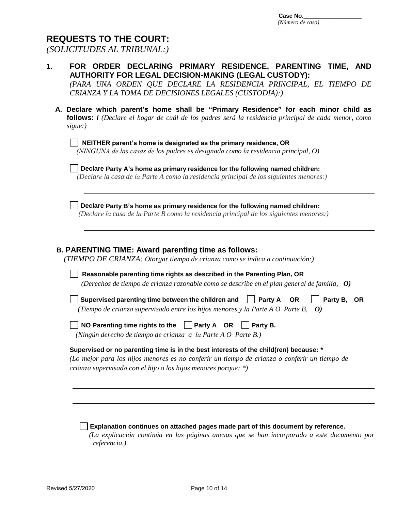# **REQUESTS TO THE COURT:**

*(SOLICITUDES AL TRIBUNAL:)*

| FOR ORDER DECLARING PRIMARY RESIDENCE, PARENTING TIME, AND<br>1.<br><b>AUTHORITY FOR LEGAL DECISION-MAKING (LEGAL CUSTODY):</b><br>(PARA UNA ORDEN QUE DECLARE LA RESIDENCIA PRINCIPAL, EL TIEMPO DE<br>CRIANZA Y LA TOMA DE DECISIONES LEGALES (CUSTODIA):)                                                                  |
|-------------------------------------------------------------------------------------------------------------------------------------------------------------------------------------------------------------------------------------------------------------------------------------------------------------------------------|
| A. Declare which parent's home shall be "Primary Residence" for each minor child as<br>follows: <i>l</i> (Declare el hogar de cuál de los padres será la residencia principal de cada menor, como<br>sigue:)                                                                                                                  |
| NEITHER parent's home is designated as the primary residence, OR<br>(NINGUNA de las casas de los padres es designada como la residencia principal, O)                                                                                                                                                                         |
| Declare Party A's home as primary residence for the following named children:<br>(Declare la casa de la Parte A como la residencia principal de los siguientes menores:)                                                                                                                                                      |
| Declare Party B's home as primary residence for the following named children:<br>(Declare la casa de la Parte B como la residencia principal de los siguientes menores.)                                                                                                                                                      |
| <b>B. PARENTING TIME: Award parenting time as follows:</b><br>(TIEMPO DE CRIANZA: Otorgar tiempo de crianza como se indica a continuación:)<br>Reasonable parenting time rights as described in the Parenting Plan, OR<br>(Derechos de tiempo de crianza razonable como se describe en el plan general de familia, $\bm{0}$ ) |
| Supervised parenting time between the children and<br>Party A<br>Party B, OR<br><b>OR</b><br>(Tiempo de crianza supervisado entre los hijos menores y la Parte A $O$ Parte B,<br>$\boldsymbol{O}$                                                                                                                             |
| NO Parenting time rights to the $\Box$ Party A OR<br>Party B.<br>(Ningún derecho de tiempo de crianza a la Parte A O Parte B.)                                                                                                                                                                                                |
| Supervised or no parenting time is in the best interests of the child(ren) because: *<br>(Lo mejor para los hijos menores es no conferir un tiempo de crianza o conferir un tiempo de<br>crianza supervisado con el hijo o los hijos menores porque: $*)$                                                                     |
|                                                                                                                                                                                                                                                                                                                               |
| Explanation continues on attached pages made part of this document by reference.                                                                                                                                                                                                                                              |

 *(La explicación continúa en las páginas anexas que se han incorporado a este documento por referencia.)*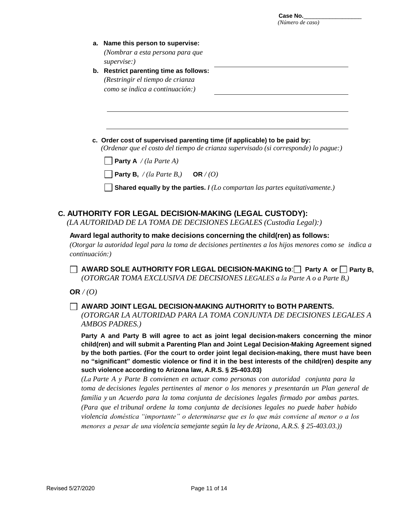| а. | Name this person to supervise:             |
|----|--------------------------------------------|
|    | (Nombrar a esta persona para que           |
|    | supervised                                 |
| b. | <b>Restrict parenting time as follows:</b> |
|    | (Restringir el tiempo de crianza           |
|    | como se indica a continuación:)            |

**c. Order cost of supervised parenting time (if applicable) to be paid by:** *(Ordenar que el costo del tiempo de crianza supervisado (si corresponde) lo pague:)*

**Party A** */ (la Parte A)*

**Party B,** */ (la Parte B,)* **OR** */ (O)*

**Shared equally by the parties. /** *(Lo compartan las partes equitativamente.)* 

#### **C. AUTHORITY FOR LEGAL DECISION-MAKING (LEGAL CUSTODY):**

*(LA AUTORIDAD DE LA TOMA DE DECISIONES LEGALES (Custodia Legal):)*

#### **Award legal authority to make decisions concerning the child(ren) as follows:**

*(Otorgar la autoridad legal para la toma de decisiones pertinentes a los hijos menores como se indica a continuación:)*

◯ AWARD SOLE AUTHORITY FOR LEGAL DECISION-MAKING to:◯ Party A or ◯ Party B, *(OTORGAR TOMA EXCLUSIVA DE DECISIONES LEGALES a la Parte A o a Parte B,)*

**OR** */ (O)*

#### **AWARD JOINT LEGAL DECISION-MAKING AUTHORITY to BOTH PARENTS.**

*(OTORGAR LA AUTORIDAD PARA LA TOMA CONJUNTA DE DECISIONES LEGALES A AMBOS PADRES.)* 

**Party A and Party B will agree to act as joint legal decision-makers concerning the minor child(ren) and will submit a Parenting Plan and Joint Legal Decision-Making Agreement signed by the both parties. (For the court to order joint legal decision-making, there must have been no "significant" domestic violence or find it in the best interests of the child(ren) despite any such violence according to Arizona law, A.R.S. § 25-403.03)** 

*(La Parte A y Parte B convienen en actuar como personas con autoridad conjunta para la toma de decisiones legales pertinentes al menor o los menores y presentarán un Plan general de familia y un Acuerdo para la toma conjunta de decisiones legales firmado por ambas partes. (Para que el tribunal ordene la toma conjunta de decisiones legales no puede haber habido violencia doméstica "importante" o determinarse que es lo que más conviene al menor o a los menores a pesar de una violencia semejante según la ley de Arizona, A.R.S. § 25-403.03.))*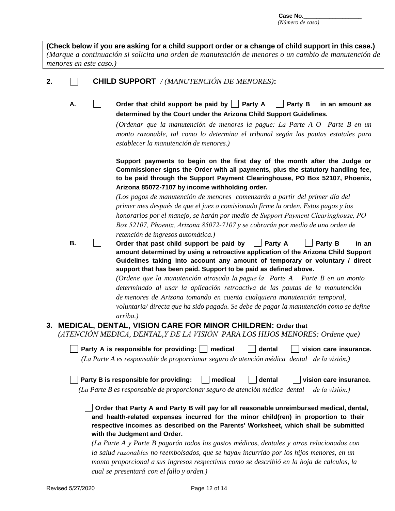**(Check below if you are asking for a child support order or a change of child support in this case.)** *(Marque a continuación si solicita una orden de manutención de menores o un cambio de manutención de menores en este caso.)* 

# **2. CHILD SUPPORT** */ (MANUTENCIÓN DE MENORES)***:**

A.  $\Box$  Order that child support be paid by  $\Box$  Party A  $\Box$  Party B in an amount as **determined by the Court under the Arizona Child Support Guidelines.**

> *(Ordenar que la manutención de menores la pague: La Parte A O Parte B en un monto razonable, tal como lo determina el tribunal según las pautas estatales para establecer la manutención de menores.)*

> **Support payments to begin on the first day of the month after the Judge or Commissioner signs the Order with all payments, plus the statutory handling fee, to be paid through the Support Payment Clearinghouse, PO Box 52107, Phoenix, Arizona 85072-7107 by income withholding order.**

*(Los pagos de manutención de menores comenzarán a partir del primer día del primer mes después de que el juez o comisionado firme la orden. Estos pagos y los honorarios por el manejo, se harán por medio de Support Payment Clearinghouse, PO Box 52107, Phoenix, Arizona 85072-7107 y se cobrarán por medio de una orden de retención de ingresos automática.)* 

**Order that past child support be paid by**  Party A Party B in an **amount determined by using a retroactive application of the Arizona Child Support Guidelines taking into account any amount of temporary or voluntary / direct support that has been paid. Support to be paid as defined above.**

> *(Ordene que la manutención atrasada la pague la Parte A Parte B en un monto determinado al usar la aplicación retroactiva de las pautas de la manutención de menores de Arizona tomando en cuenta cualquiera manutención temporal, voluntaria/ directa que ha sido pagada. Se debe de pagar la manutención como se define arriba.)*

**3. MEDICAL, DENTAL, VISION CARE FOR MINOR CHILDREN: Order that** *(ATENCIÓN MEDICA, DENTAL,Y DE LA VISIÓN PARA LOS HIJOS MENORES: Ordene que)*

**Party A is responsible for providing: medical dental vision care insurance.** *(La Parte A es responsable de proporcionar seguro de atención médica dental de la visión.)*

**Party B is responsible for providing: medical dental vision care insurance.** *(La Parte B es responsable de proporcionar seguro de atención médica dental de la visión.)*

**Order that Party A and Party B will pay for all reasonable unreimbursed medical, dental, and health-related expenses incurred for the minor child(ren) in proportion to their respective incomes as described on the Parents' Worksheet, which shall be submitted with the Judgment and Order.** 

*(La Parte A y Parte B pagarán todos los gastos médicos, dentales y otros relacionados con la salud razonables no reembolsados, que se hayan incurrido por los hijos menores, en un monto proporcional a sus ingresos respectivos como se describió en la hoja de calculos, la cual se presentará con el fallo y orden.)* 

**B.**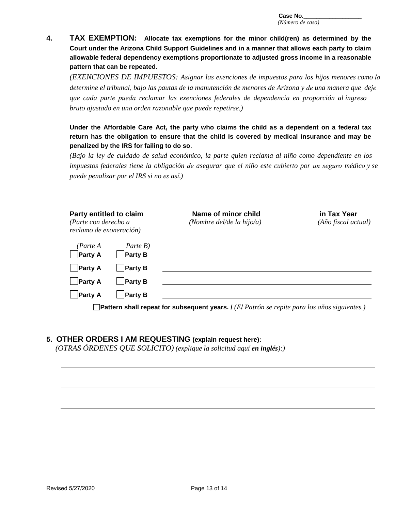**4. TAX EXEMPTION: Allocate tax exemptions for the minor child(ren) as determined by the Court under the Arizona Child Support Guidelines and in a manner that allows each party to claim allowable federal dependency exemptions proportionate to adjusted gross income in a reasonable pattern that can be repeated**.

*(EXENCIONES DE IMPUESTOS: Asignar las exenciones de impuestos para los hijos menores como lo determine el tribunal, bajo las pautas de la manutención de menores de Arizona y de una manera que deje que cada parte pueda reclamar las exenciones federales de dependencia en proporción al ingreso bruto ajustado en una orden razonable que puede repetirse.)*

**Under the Affordable Care Act, the party who claims the child as a dependent on a federal tax return has the obligation to ensure that the child is covered by medical insurance and may be penalized by the IRS for failing to do so**.

*(Bajo la ley de cuidado de salud económico, la parte quien reclama al niño como dependiente en los impuestos federales tiene la obligación de asegurar que el niño este cubierto por un seguro médico y se puede penalizar por el IRS si no es así.)*

| Party entitled to claim<br>(Parte con derecho a<br>reclamo de exoneración) |                            | Name of minor child<br>(Nombre del/de la hijo/a) | in Tax Year<br>$(A\tilde{n}o$ fiscal actual) |
|----------------------------------------------------------------------------|----------------------------|--------------------------------------------------|----------------------------------------------|
| (Parte A<br>$P$ arty A                                                     | Parte B)<br><b>Party B</b> |                                                  |                                              |
| $\Box$ Party A                                                             | <b>Party B</b>             |                                                  |                                              |
| $\blacksquare$ Party A                                                     | <b>Party B</b>             |                                                  |                                              |
| <b>Party A</b>                                                             | <b>Party B</b>             |                                                  |                                              |

**Pattern shall repeat for subsequent years. /** *(El Patrón se repite para los años siguientes.)*

#### **5. OTHER ORDERS I AM REQUESTING (explain request here):**

*(OTRAS ÓRDENES QUE SOLICITO) (explique la solicitud aquí en inglés):)*